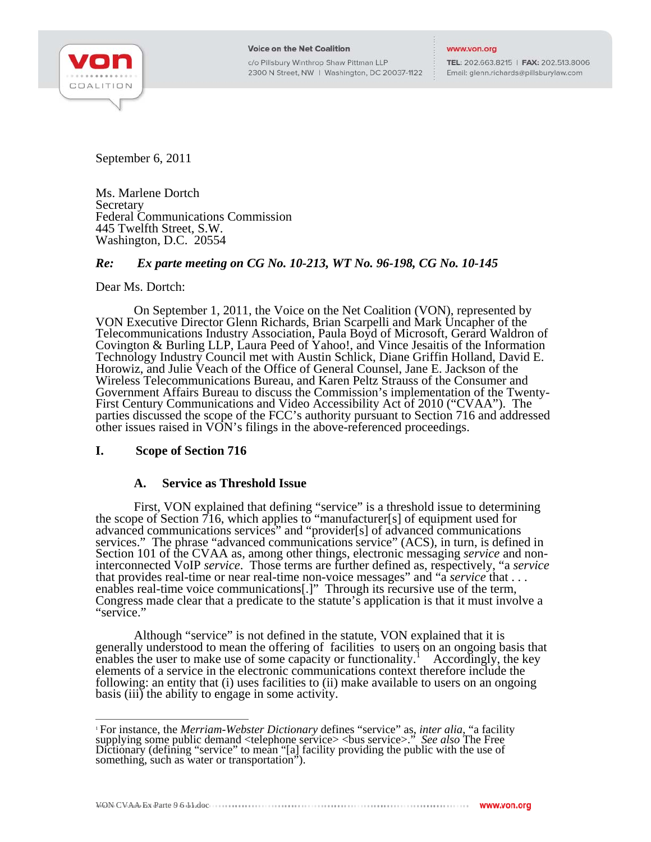

c/o Pillsbury Winthrop Shaw Pittman LLP 2300 N Street, NW | Washington, DC 20037-1122

TEL: 202.663.8215 | FAX: 202.513.8006 Email: glenn.richards@pillsburylaw.com

September 6, 2011

Ms. Marlene Dortch **Secretary** Federal Communications Commission 445 Twelfth Street, S.W. Washington, D.C. 20554

# *Re: Ex parte meeting on CG No. 10-213, WT No. 96-198, CG No. 10-145*

#### Dear Ms. Dortch:

 On September 1, 2011, the Voice on the Net Coalition (VON), represented by VON Executive Director Glenn Richards, Brian Scarpelli and Mark Uncapher of the Telecommunications Industry Association, Paula Boyd of Microsoft, Gerard Waldron of Covington & Burling LLP, Laura Peed of Yahoo!, and Vince Jesaitis of the Information Technology Industry Council met with Austin Schlick, Diane Griffin Holland, David E. Horowiz, and Julie Veach of the Office of General Counsel, Jane E. Jackson of the Wireless Telecommunications Bureau, and Karen Peltz Strauss of the Consumer and Government Affairs Bureau to discuss the Commission's implementation of the Twenty-First Century Communications and Video Accessibility Act of 2010 ("CVAA"). The parties discussed the scope of the FCC's authority pursuant to Section 716 and addressed other issues raised in VON's filings in the above-referenced proceedings.

# **I. Scope of Section 716**

#### **A. Service as Threshold Issue**

 First, VON explained that defining "service" is a threshold issue to determining the scope of Section 716, which applies to "manufacturer[s] of equipment used for advanced communications services" and "provider[s] of advanced communications services." The phrase "advanced communications service" (ACS), in turn, is defined in Section 101 of the CVAA as, among other things, electronic messaging *service* and noninterconnected VoIP *service*. Those terms are further defined as, respectively, "a *service*  that provides real-time or near real-time non-voice messages" and "a *service* that . . . enables real-time voice communications[.]" Through its recursive use of the term, Congress made clear that a predicate to the statute's application is that it must involve a "service."

 Although "service" is not defined in the statute, VON explained that it is generally understood to mean the offering of facilities to users on an ongoing basis that enables the user to make use of some capacity or functionality.<sup>1</sup> Accordingly, the key elements of a service in the electronic communications context therefore include the following: an entity that (i) uses facilities to (ii) make available to users on an ongoing basis (iii) the ability to engage in some activity.

 $\overline{a}$ <sup>1</sup> For instance, the *Merriam-Webster Dictionary* defines "service" as, *inter alia*, "a facility supplying some public demand <telephone service> <bus service>." *See also* The Free Dictionary (defining "service" to mean "[a] facility providing the public with the use of something, such as water or transportation").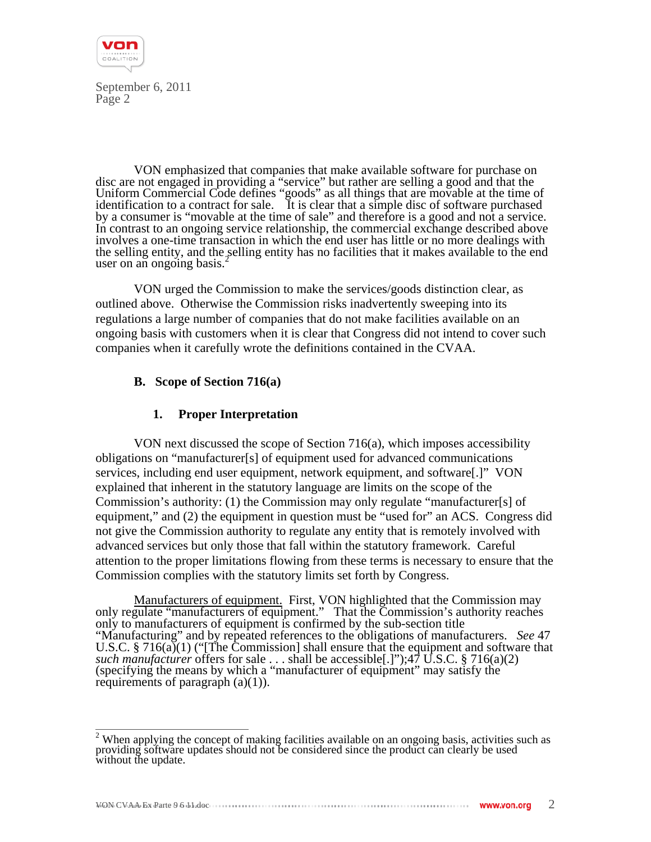

 VON emphasized that companies that make available software for purchase on disc are not engaged in providing a "service" but rather are selling a good and that the Uniform Commercial Code defines "goods" as all things that are movable at the time of identification to a contract for sale. It is clear that a simple disc of software purchased by a consumer is "movable at the time of sale" and therefore is a good and not a service. In contrast to an ongoing service relationship, the commercial exchange described above involves a one-time transaction in which the end user has little or no more dealings with the selling entity, and the selling entity has no facilities that it makes available to the end user on an ongoing basis. $\frac{2}{3}$ 

 VON urged the Commission to make the services/goods distinction clear, as outlined above. Otherwise the Commission risks inadvertently sweeping into its regulations a large number of companies that do not make facilities available on an ongoing basis with customers when it is clear that Congress did not intend to cover such companies when it carefully wrote the definitions contained in the CVAA.

# **B. Scope of Section 716(a)**

## **1. Proper Interpretation**

 VON next discussed the scope of Section 716(a), which imposes accessibility obligations on "manufacturer[s] of equipment used for advanced communications services, including end user equipment, network equipment, and software[.]" VON explained that inherent in the statutory language are limits on the scope of the Commission's authority: (1) the Commission may only regulate "manufacturer[s] of equipment," and (2) the equipment in question must be "used for" an ACS. Congress did not give the Commission authority to regulate any entity that is remotely involved with advanced services but only those that fall within the statutory framework. Careful attention to the proper limitations flowing from these terms is necessary to ensure that the Commission complies with the statutory limits set forth by Congress.

Manufacturers of equipment. First, VON highlighted that the Commission may only regulate "manufacturers of equipment." That the Commission's authority reaches only to manufacturers of equipment is confirmed by the sub-section title "Manufacturing" and by repeated references to the obligations of manufacturers. *See* 47 U.S.C. § 716( $a$ )(1) ("[The Commission] shall ensure that the equipment and software that *such manufacturer* offers for sale . . . shall be accessible[.]");47 U.S.C. § 716(a)(2) (specifying the means by which a "manufacturer of equipment" may satisfy the requirements of paragraph  $(a)(1)$ ).

 $\frac{1}{2}$ When applying the concept of making facilities available on an ongoing basis, activities s<br>providing software updates should not be considered since the product can clearly be used<br>without the update.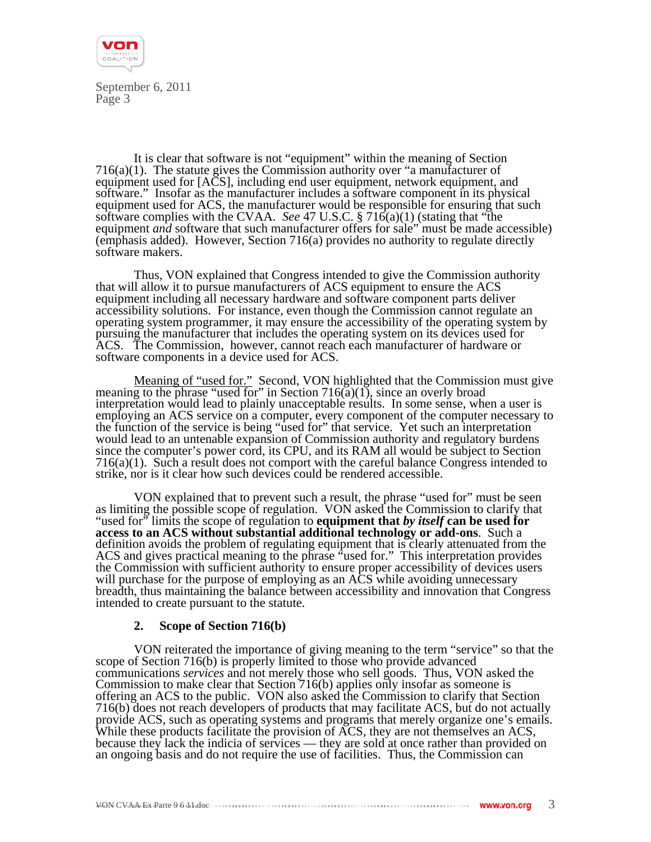

 It is clear that software is not "equipment" within the meaning of Section  $716(a)(1)$ . The statute gives the Commission authority over "a manufacturer of equipment used for [ACS], including end user equipment, network equipment, and software." Insofar as the manufacturer includes a software component in its physical equipment used for ACS, the manufacturer would be responsible for ensuring that such software complies with the CVAA. *See* 47 U.S.C. § 716(a)(1) (stating that "the equipment *and* software that such manufacturer offers for sale" must be made accessible) (emphasis added). However, Section 716(a) provides no authority to regulate directly software makers.

 Thus, VON explained that Congress intended to give the Commission authority that will allow it to pursue manufacturers of ACS equipment to ensure the ACS equipment including all necessary hardware and software component parts deliver accessibility solutions. For instance, even though the Commission cannot regulate an operating system programmer, it may ensure the accessibility of the operating system by pursuing the manufacturer that includes the operating system on its devices used for ACS. The Commission, however, cannot reach each manufacturer of hardware or software components in a device used for ACS.

Meaning of "used for." Second, VON highlighted that the Commission must give meaning to the phrase "used for" in Section 716( $\tilde{a}$ )(1), since an overly broad interpretation would lead to plainly unacceptable results. In some sense, when a user is employing an ACS service on a computer, every component of the computer necessary to the function of the service is being "used for" that service. Yet such an interpretation would lead to an untenable expansion of Commission authority and regulatory burdens since the computer's power cord, its CPU, and its RAM all would be subject to Section 716(a)(1). Such a result does not comport with the careful balance Congress intended to strike, nor is it clear how such devices could be rendered accessible.

 VON explained that to prevent such a result, the phrase "used for" must be seen as limiting the possible scope of regulation. VON asked the Commission to clarify that "used for" limits the scope of regulation to **equipment that** *by itself* **can be used for access to an ACS without substantial additional technology or add-ons**. Such a definition avoids the problem of regulating equipment that is clearly attenuated from the ACS and gives practical meaning to the phrase "used for." This interpretation provides the Commission with sufficient authority to ensure proper accessibility of devices users will purchase for the purpose of employing as an ACS while avoiding unnecessary breadth, thus maintaining the balance between accessibility and innovation that Congress intended to create pursuant to the statute.

#### **2. Scope of Section 716(b)**

 VON reiterated the importance of giving meaning to the term "service" so that the scope of Section 716(b) is properly limited to those who provide advanced communications *services* and not merely those who sell goods. Thus, VON asked the Commission to make clear that Section 716(b) applies only insofar as someone is offering an ACS to the public. VON also asked the Commission to clarify that Section 716(b) does not reach developers of products that may facilitate ACS, but do not actually provide ACS, such as operating systems and programs that merely organize one's emails. While these products facilitate the provision of ACS, they are not themselves an ACS, because they lack the indicia of services — they are sold at once rather than provided on an ongoing basis and do not require the use of facilities. Thus, the Commission can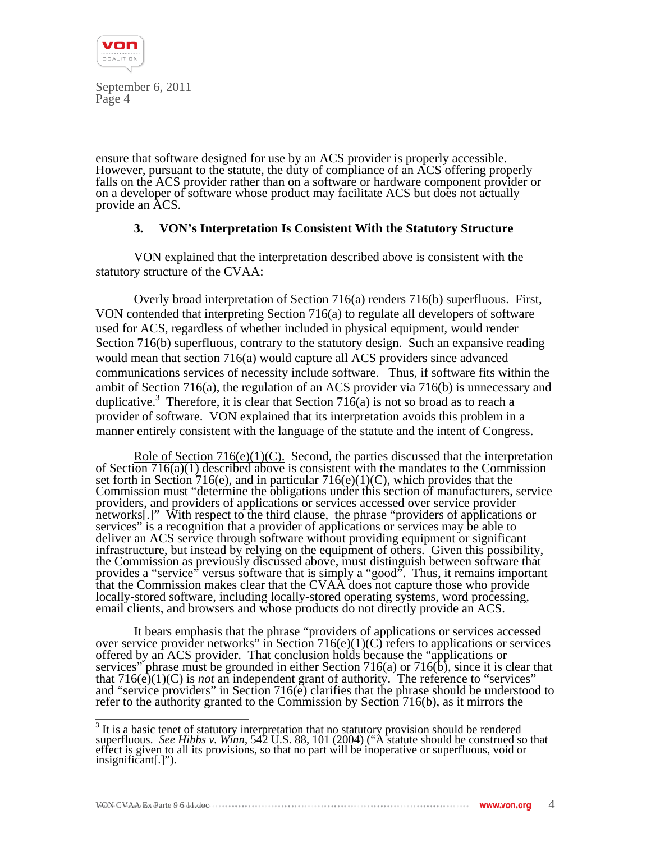

ensure that software designed for use by an ACS provider is properly accessible. However, pursuant to the statute, the duty of compliance of an ACS offering properly falls on the ACS provider rather than on a software or hardware component provider or on a developer of software whose product may facilitate ACS but does not actually provide an ACS.

## **3. VON's Interpretation Is Consistent With the Statutory Structure**

 VON explained that the interpretation described above is consistent with the statutory structure of the CVAA:

 Overly broad interpretation of Section 716(a) renders 716(b) superfluous. First, VON contended that interpreting Section 716(a) to regulate all developers of software used for ACS, regardless of whether included in physical equipment, would render Section 716(b) superfluous, contrary to the statutory design. Such an expansive reading would mean that section 716(a) would capture all ACS providers since advanced communications services of necessity include software. Thus, if software fits within the ambit of Section 716(a), the regulation of an ACS provider via 716(b) is unnecessary and duplicative.<sup>3</sup> Therefore, it is clear that Section 716(a) is not so broad as to reach a provider of software. VON explained that its interpretation avoids this problem in a manner entirely consistent with the language of the statute and the intent of Congress.

Role of Section  $716(e)(1)(C)$ . Second, the parties discussed that the interpretation of Section 716(a)(1) described above is consistent with the mandates to the Commission set forth in Section 716(e), and in particular 716(e)(1)(C), which provides that the Commission must "determine the obligations under this section of manufacturers, service providers, and providers of applications or services accessed over service provider networks[.]" With respect to the third clause, the phrase "providers of applications or services" is a recognition that a provider of applications or services may be able to deliver an ACS service through software without providing equipment or significant infrastructure, but instead by relying on the equipment of others. Given this possibility, the Commission as previously discussed above, must distinguish between software that provides a "service" versus software that is simply a "good". Thus, it remains important that the Commission makes clear that the CVAA does not capture those who provide locally-stored software, including locally-stored operating systems, word processing, email clients, and browsers and whose products do not directly provide an ACS.

 It bears emphasis that the phrase "providers of applications or services accessed over service provider networks" in Section  $716(e)(1)(C)$  refers to applications or services offered by an ACS provider. That conclusion holds because the "applications or services" phrase must be grounded in either Section 716(a) or 716(b), since it is clear that that  $716(e)(1)(C)$  is *not* an independent grant of authority. The reference to "services" and "service providers" in Section 716(e) clarifies that the phrase should be understood to refer to the authority granted to the Commission by Section 716(b), as it mirrors the

<sup>&</sup>lt;sup>3</sup> It is a basic tenet of statutory interpretation that no statutory provision should be rendered superfluous. *See Hibbs v. Winn*, 542 U.S. 88, 101 (2004) ("A statute should be construed so that effect is given to all its provisions, so that no part will be inoperative or superfluous, void or insignificant[.]").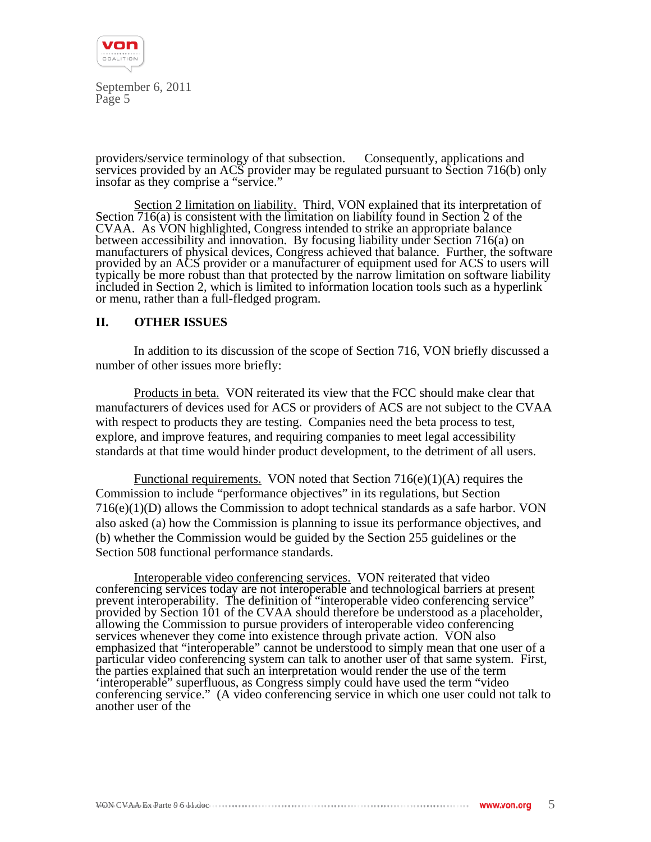

providers/service terminology of that subsection. Consequently, applications and services provided by an ACS provider may be regulated pursuant to Section 716(b) only insofar as they comprise a "service."

 Section 2 limitation on liability. Third, VON explained that its interpretation of Section  $\overline{716(a)}$  is consistent with the limitation on liability found in Section 2 of the CVAA. As VON highlighted, Congress intended to strike an appropriate balance between accessibility and innovation. By focusing liability under Section 716(a) on manufacturers of physical devices, Congress achieved that balance. Further, the software provided by an ACS provider or a manufacturer of equipment used for ACS to users will typically be more robust than that protected by the narrow limitation on software liability included in Section 2, which is limited to information location tools such as a hyperlink or menu, rather than a full-fledged program.

## **II. OTHER ISSUES**

 In addition to its discussion of the scope of Section 716, VON briefly discussed a number of other issues more briefly:

 Products in beta. VON reiterated its view that the FCC should make clear that manufacturers of devices used for ACS or providers of ACS are not subject to the CVAA with respect to products they are testing. Companies need the beta process to test, explore, and improve features, and requiring companies to meet legal accessibility standards at that time would hinder product development, to the detriment of all users.

Functional requirements. VON noted that Section  $716(e)(1)(A)$  requires the Commission to include "performance objectives" in its regulations, but Section  $716(e)(1)(D)$  allows the Commission to adopt technical standards as a safe harbor. VON also asked (a) how the Commission is planning to issue its performance objectives, and (b) whether the Commission would be guided by the Section 255 guidelines or the Section 508 functional performance standards.

 Interoperable video conferencing services. VON reiterated that video conferencing services today are not interoperable and technological barriers at present prevent interoperability. The definition of "interoperable video conferencing service" provided by Section 101 of the CVAA should therefore be understood as a placeholder, allowing the Commission to pursue providers of interoperable video conferencing services whenever they come into existence through private action. VON also emphasized that "interoperable" cannot be understood to simply mean that one user of a particular video conferencing system can talk to another user of that same system. First, the parties explained that such an interpretation would render the use of the term 'interoperable" superfluous, as Congress simply could have used the term "video conferencing service." (A video conferencing service in which one user could not talk to another user of the